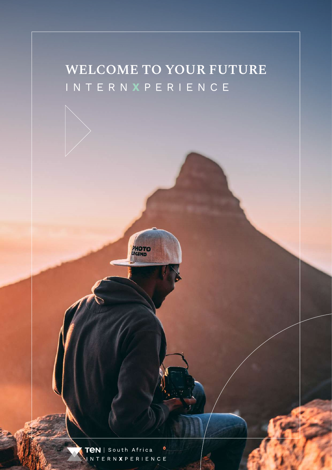#### **WELCOME TO YOUR FUTURE** INTERN **X** PERIENCE

TeN | South Africa  $\bullet$ VNTERNXPERIENCE

**PHOTO**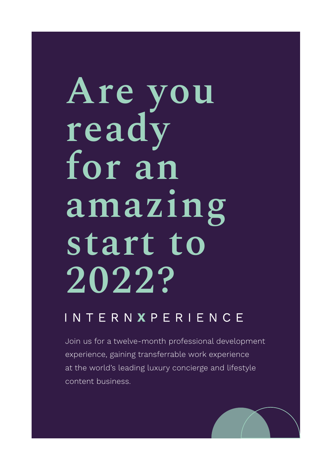# **Are you ready for an amazing start to 2022?**

#### INTERNXPERIENCE

Join us for a twelve-month professional development experience, gaining transferrable work experience at the world's leading luxury concierge and lifestyle content business.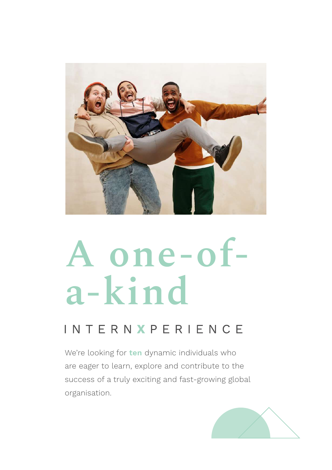

# **A one-ofa-kind**

#### INTERNXPERIENCE

We're looking for **ten** dynamic individuals who are eager to learn, explore and contribute to the success of a truly exciting and fast-growing global organisation.

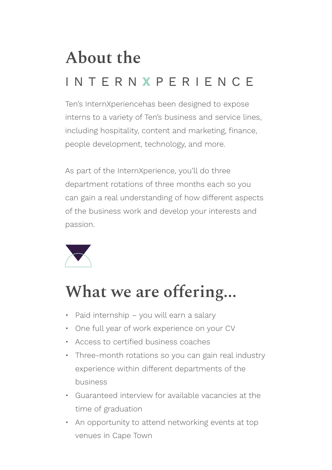# **About the**  INTERN **X** PERIENCE

Ten's InternXperiencehas been designed to expose interns to a variety of Ten's business and service lines, including hospitality, content and marketing, finance, people development, technology, and more.

As part of the InternXperience, you'll do three department rotations of three months each so you can gain a real understanding of how different aspects of the business work and develop your interests and passion.



#### **What we are offering...**

- Paid internship you will earn a salary
- One full year of work experience on your CV
- Access to certified business coaches
- Three-month rotations so you can gain real industry experience within different departments of the business
- Guaranteed interview for available vacancies at the time of graduation
- An opportunity to attend networking events at top venues in Cape Town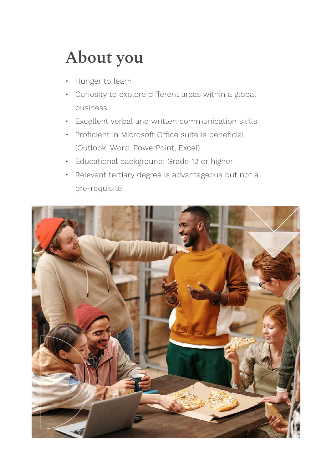## **About you**

- Hunger to learn
- Curiosity to explore different areas within a global business
- Excellent verbal and written communication skills
- Proficient in Microsoft Office suite is beneficial (Outlook, Word, PowerPoint, Excel)
- Educational background: Grade 12 or higher
- Relevant tertiary degree is advantageous but not a pre-requisite

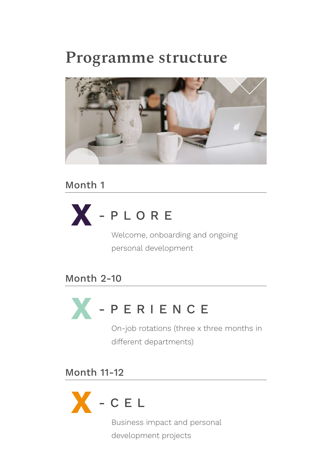#### **Programme structure**



Month 1



Welcome, onboarding and ongoing personal development

Month 2-10



On-job rotations (three x three months in different departments)

Month 11-12



Business impact and personal development projects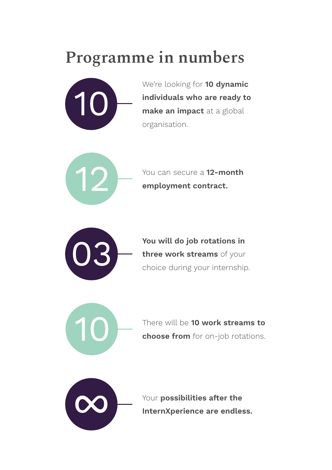#### **Programme in numbers**



We're looking for **10 dynamic individuals who are ready to make an impact** at a global organisation.

$$
(12)
$$

You can secure a **12-month employment contract.**



**You will do job rotations in three work streams** of your choice during your internship.

There will be **10 work streams to choose from** for on-job rotations.



Your **possibilities after the InternXperience are endless.**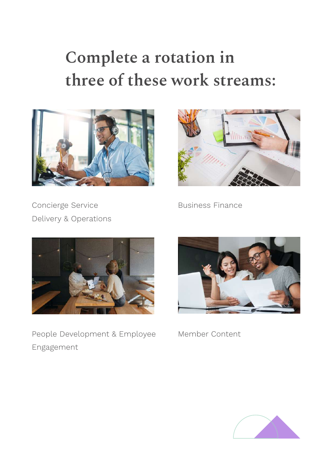## **Complete a rotation in three of these work streams:**





Concierge Service Delivery & Operations Business Finance



People Development & Employee Member Content Engagement



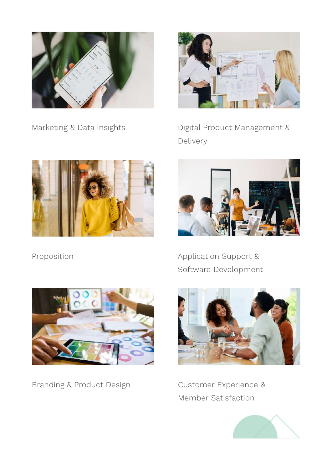



Marketing & Data Insights **Digital Product Management &** Delivery



Proposition



Application Support & Software Development



Branding & Product Design



Customer Experience & Member Satisfaction

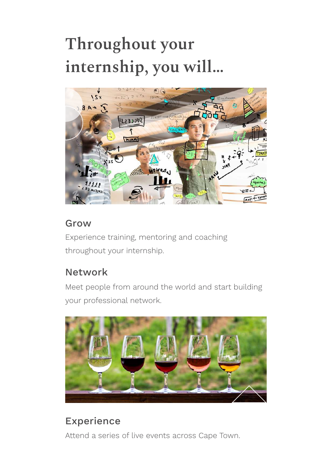## **Throughout your internship, you will…**



#### Grow

Experience training, mentoring and coaching throughout your internship.

#### Network

Meet people from around the world and start building your professional network.



#### Experience

Attend a series of live events across Cape Town.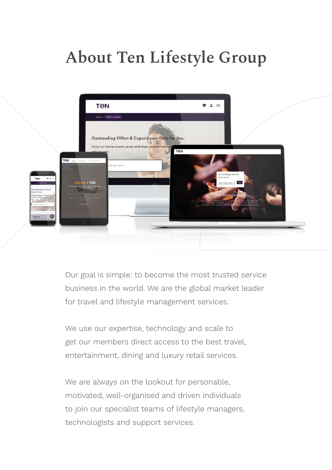### **About Ten Lifestyle Group**



Our goal is simple: to become the most trusted service business in the world. We are the global market leader for travel and lifestyle management services.

We use our expertise, technology and scale to get our members direct access to the best travel, entertainment, dining and luxury retail services.

We are always on the lookout for personable, motivated, well-organised and driven individuals to join our specialist teams of lifestyle managers, technologists and support services.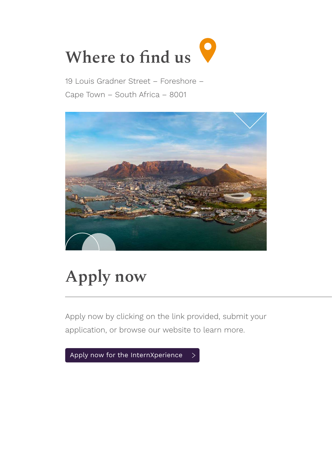

19 Louis Gradner Street – Foreshore – Cape Town – South Africa – 8001



## **Apply now**

Apply now by clicking on the link provided, submit your application, or browse our website to learn more.